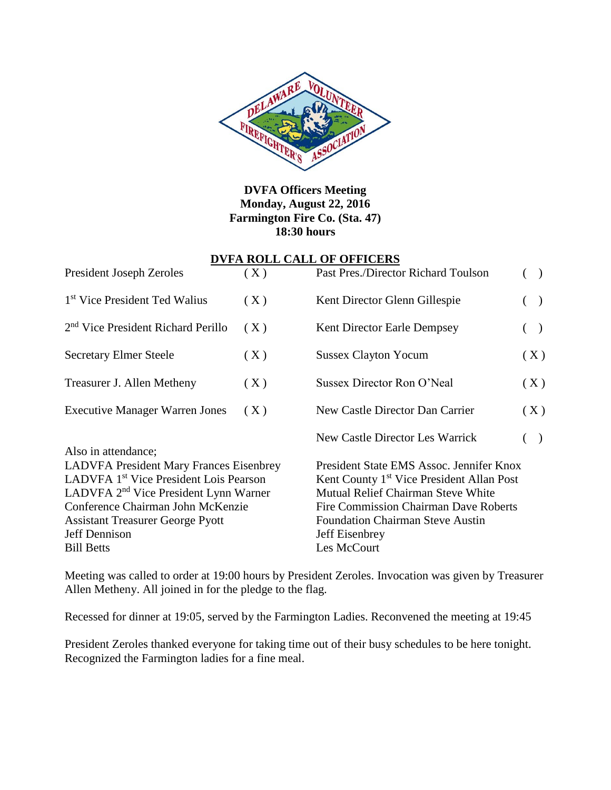

**DVFA Officers Meeting Monday, August 22, 2016 Farmington Fire Co. (Sta. 47) 18:30 hours**

#### **DVFA ROLL CALL OF OFFICERS**

| <b>President Joseph Zeroles</b>                                                                                                                                                                          | (X) | Past Pres./Director Richard Toulson                                                                                                                                                               |               |                   |  |             |  |
|----------------------------------------------------------------------------------------------------------------------------------------------------------------------------------------------------------|-----|---------------------------------------------------------------------------------------------------------------------------------------------------------------------------------------------------|---------------|-------------------|--|-------------|--|
| 1 <sup>st</sup> Vice President Ted Walius                                                                                                                                                                | (X) | Kent Director Glenn Gillespie                                                                                                                                                                     | $\rightarrow$ |                   |  |             |  |
| 2 <sup>nd</sup> Vice President Richard Perillo                                                                                                                                                           | (X) | <b>Kent Director Earle Dempsey</b>                                                                                                                                                                | $\rightarrow$ |                   |  |             |  |
| <b>Secretary Elmer Steele</b>                                                                                                                                                                            | (X) | <b>Sussex Clayton Yocum</b>                                                                                                                                                                       | (X)           |                   |  |             |  |
| Treasurer J. Allen Metheny                                                                                                                                                                               | (X) | Sussex Director Ron O'Neal                                                                                                                                                                        | (X)           |                   |  |             |  |
| <b>Executive Manager Warren Jones</b>                                                                                                                                                                    | (X) | New Castle Director Dan Carrier                                                                                                                                                                   | (X)           |                   |  |             |  |
| Also in attendance;<br><b>LADVFA President Mary Frances Eisenbrey</b>                                                                                                                                    |     | New Castle Director Les Warrick<br>$\big)$<br>President State EMS Assoc. Jennifer Knox                                                                                                            |               |                   |  |             |  |
| LADVFA 1 <sup>st</sup> Vice President Lois Pearson<br>LADVFA 2 <sup>nd</sup> Vice President Lynn Warner<br>Conference Chairman John McKenzie<br><b>Assistant Treasurer George Pyott</b><br>Jeff Dennison |     | Kent County 1 <sup>st</sup> Vice President Allan Post<br>Mutual Relief Chairman Steve White<br>Fire Commission Chairman Dave Roberts<br><b>Foundation Chairman Steve Austin</b><br>Jeff Eisenbrey |               |                   |  |             |  |
|                                                                                                                                                                                                          |     |                                                                                                                                                                                                   |               | <b>Bill Betts</b> |  | Les McCourt |  |

Meeting was called to order at 19:00 hours by President Zeroles. Invocation was given by Treasurer Allen Metheny. All joined in for the pledge to the flag.

Recessed for dinner at 19:05, served by the Farmington Ladies. Reconvened the meeting at 19:45

President Zeroles thanked everyone for taking time out of their busy schedules to be here tonight. Recognized the Farmington ladies for a fine meal.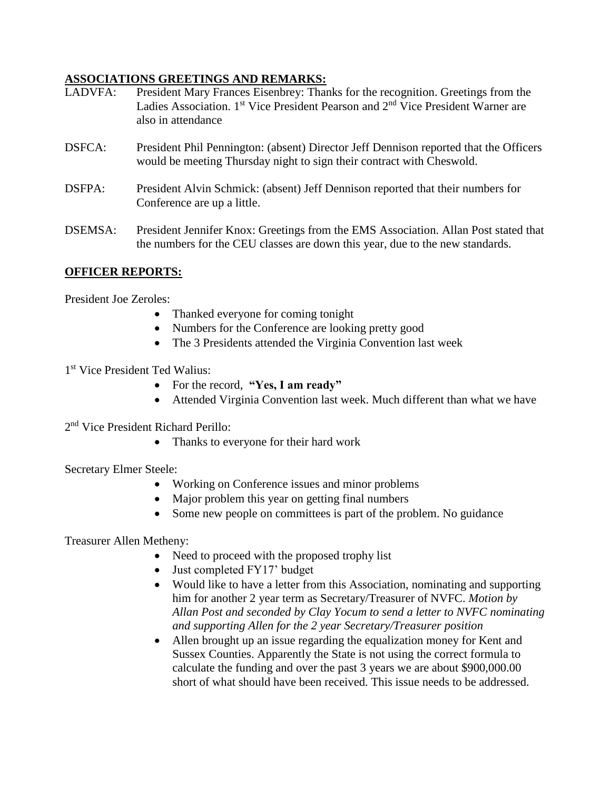### **ASSOCIATIONS GREETINGS AND REMARKS:**

- LADVFA: President Mary Frances Eisenbrey: Thanks for the recognition. Greetings from the Ladies Association. 1<sup>st</sup> Vice President Pearson and 2<sup>nd</sup> Vice President Warner are also in attendance
- DSFCA: President Phil Pennington: (absent) Director Jeff Dennison reported that the Officers would be meeting Thursday night to sign their contract with Cheswold.
- DSFPA: President Alvin Schmick: (absent) Jeff Dennison reported that their numbers for Conference are up a little.
- DSEMSA: President Jennifer Knox: Greetings from the EMS Association. Allan Post stated that the numbers for the CEU classes are down this year, due to the new standards.

## **OFFICER REPORTS:**

President Joe Zeroles:

- Thanked everyone for coming tonight
- Numbers for the Conference are looking pretty good
- The 3 Presidents attended the Virginia Convention last week
- 1 st Vice President Ted Walius:
	- For the record, **"Yes, I am ready"**
	- Attended Virginia Convention last week. Much different than what we have
- 2<sup>nd</sup> Vice President Richard Perillo:
	- Thanks to everyone for their hard work

Secretary Elmer Steele:

- Working on Conference issues and minor problems
- Major problem this year on getting final numbers
- Some new people on committees is part of the problem. No guidance

Treasurer Allen Metheny:

- Need to proceed with the proposed trophy list
- Just completed FY17' budget
- Would like to have a letter from this Association, nominating and supporting him for another 2 year term as Secretary/Treasurer of NVFC. *Motion by Allan Post and seconded by Clay Yocum to send a letter to NVFC nominating and supporting Allen for the 2 year Secretary/Treasurer position*
- Allen brought up an issue regarding the equalization money for Kent and Sussex Counties. Apparently the State is not using the correct formula to calculate the funding and over the past 3 years we are about \$900,000.00 short of what should have been received. This issue needs to be addressed.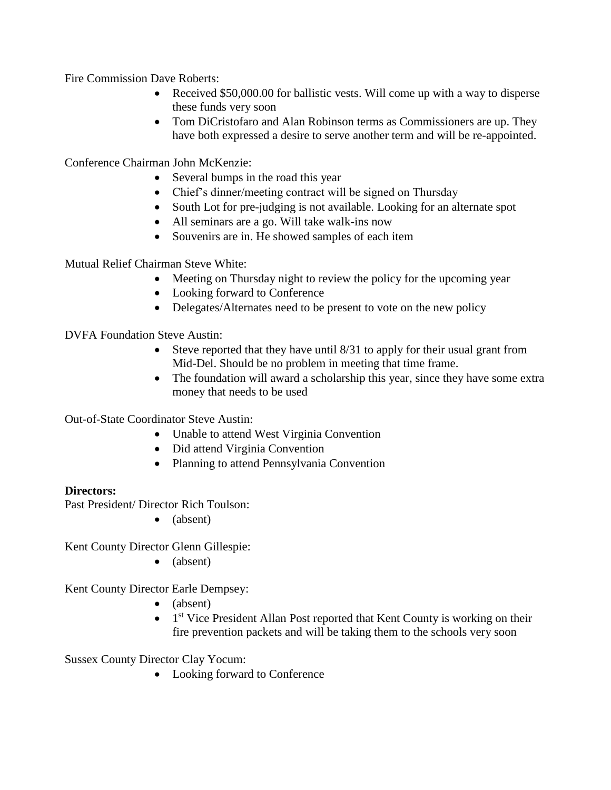Fire Commission Dave Roberts:

- Received \$50,000.00 for ballistic vests. Will come up with a way to disperse these funds very soon
- Tom DiCristofaro and Alan Robinson terms as Commissioners are up. They have both expressed a desire to serve another term and will be re-appointed.

Conference Chairman John McKenzie:

- Several bumps in the road this year
- Chief's dinner/meeting contract will be signed on Thursday
- South Lot for pre-judging is not available. Looking for an alternate spot
- All seminars are a go. Will take walk-ins now
- Souvenirs are in. He showed samples of each item

Mutual Relief Chairman Steve White:

- Meeting on Thursday night to review the policy for the upcoming year
- Looking forward to Conference
- Delegates/Alternates need to be present to vote on the new policy

DVFA Foundation Steve Austin:

- Steve reported that they have until 8/31 to apply for their usual grant from Mid-Del. Should be no problem in meeting that time frame.
- The foundation will award a scholarship this year, since they have some extra money that needs to be used

Out-of-State Coordinator Steve Austin:

- Unable to attend West Virginia Convention
- Did attend Virginia Convention
- Planning to attend Pennsylvania Convention

#### **Directors:**

Past President/ Director Rich Toulson:

 $\bullet$  (absent)

Kent County Director Glenn Gillespie:

• (absent)

Kent County Director Earle Dempsey:

- (absent)
- 1<sup>st</sup> Vice President Allan Post reported that Kent County is working on their fire prevention packets and will be taking them to the schools very soon

Sussex County Director Clay Yocum:

• Looking forward to Conference